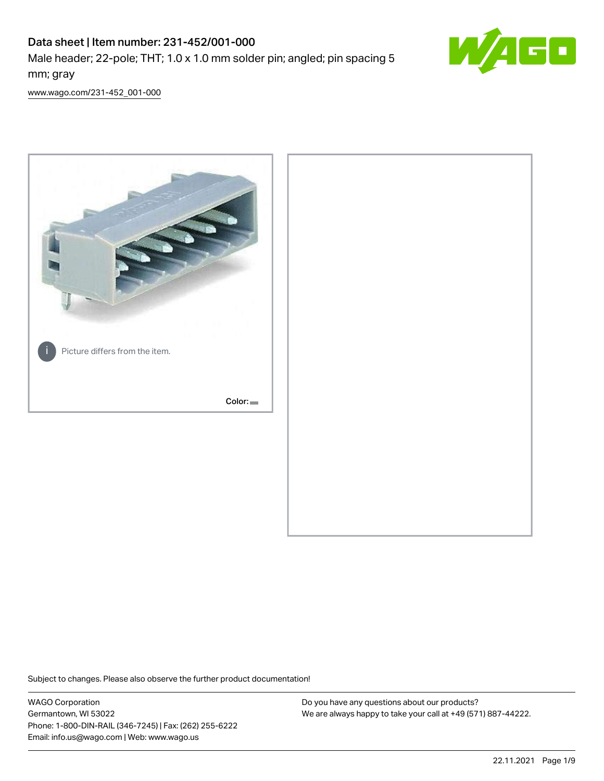# Data sheet | Item number: 231-452/001-000 Male header; 22-pole; THT; 1.0 x 1.0 mm solder pin; angled; pin spacing 5 mm; gray



[www.wago.com/231-452\\_001-000](http://www.wago.com/231-452_001-000)



Subject to changes. Please also observe the further product documentation!

WAGO Corporation Germantown, WI 53022 Phone: 1-800-DIN-RAIL (346-7245) | Fax: (262) 255-6222 Email: info.us@wago.com | Web: www.wago.us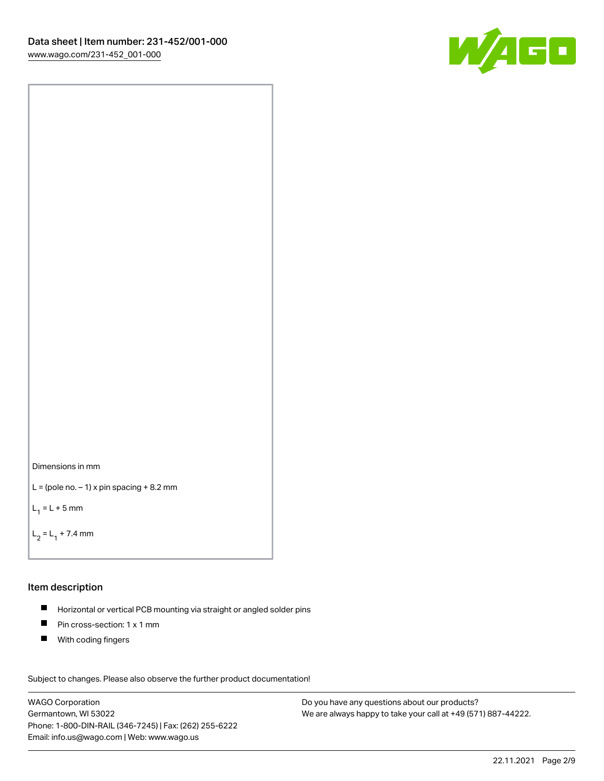



```
L = (pole no. -1) x pin spacing +8.2 mm
```
 $L_1 = L + 5$  mm

```
L_2 = L_1 + 7.4 mm
```
#### Item description

- Horizontal or vertical PCB mounting via straight or angled solder pins  $\blacksquare$
- $\blacksquare$ Pin cross-section: 1 x 1 mm
- $\blacksquare$ With coding fingers

Subject to changes. Please also observe the further product documentation! Data

WAGO Corporation Germantown, WI 53022 Phone: 1-800-DIN-RAIL (346-7245) | Fax: (262) 255-6222 Email: info.us@wago.com | Web: www.wago.us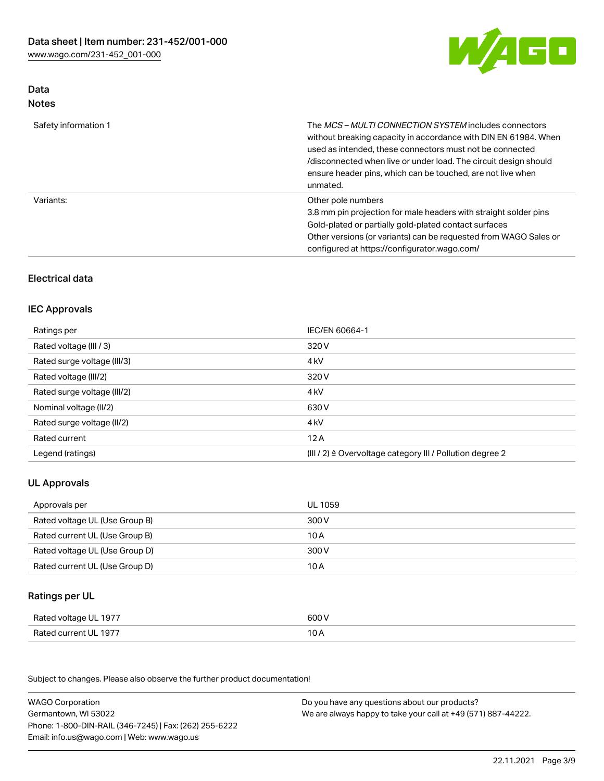

### Data Notes

| Safety information 1 | The <i>MCS – MULTI CONNECTION SYSTEM</i> includes connectors<br>without breaking capacity in accordance with DIN EN 61984. When<br>used as intended, these connectors must not be connected<br>/disconnected when live or under load. The circuit design should<br>ensure header pins, which can be touched, are not live when<br>unmated. |
|----------------------|--------------------------------------------------------------------------------------------------------------------------------------------------------------------------------------------------------------------------------------------------------------------------------------------------------------------------------------------|
| Variants:            | Other pole numbers<br>3.8 mm pin projection for male headers with straight solder pins<br>Gold-plated or partially gold-plated contact surfaces<br>Other versions (or variants) can be requested from WAGO Sales or<br>configured at https://configurator.wago.com/                                                                        |

## Electrical data

## IEC Approvals

| Ratings per                 | IEC/EN 60664-1                                                        |
|-----------------------------|-----------------------------------------------------------------------|
| Rated voltage (III / 3)     | 320 V                                                                 |
| Rated surge voltage (III/3) | 4 <sub>k</sub> V                                                      |
| Rated voltage (III/2)       | 320 V                                                                 |
| Rated surge voltage (III/2) | 4 <sub>kV</sub>                                                       |
| Nominal voltage (II/2)      | 630 V                                                                 |
| Rated surge voltage (II/2)  | 4 <sub>k</sub> V                                                      |
| Rated current               | 12A                                                                   |
| Legend (ratings)            | $(III / 2)$ $\triangle$ Overvoltage category III / Pollution degree 2 |

## UL Approvals

| Approvals per                  | UL 1059 |
|--------------------------------|---------|
| Rated voltage UL (Use Group B) | 300 V   |
| Rated current UL (Use Group B) | 10 A    |
| Rated voltage UL (Use Group D) | 300 V   |
| Rated current UL (Use Group D) | 10 A    |

### Ratings per UL

| Rated voltage UL 1977 | 600 V |
|-----------------------|-------|
| Rated current UL 1977 |       |

| <b>WAGO Corporation</b>                                | Do you have any questions about our products?                 |
|--------------------------------------------------------|---------------------------------------------------------------|
| Germantown, WI 53022                                   | We are always happy to take your call at +49 (571) 887-44222. |
| Phone: 1-800-DIN-RAIL (346-7245)   Fax: (262) 255-6222 |                                                               |
| Email: info.us@wago.com   Web: www.wago.us             |                                                               |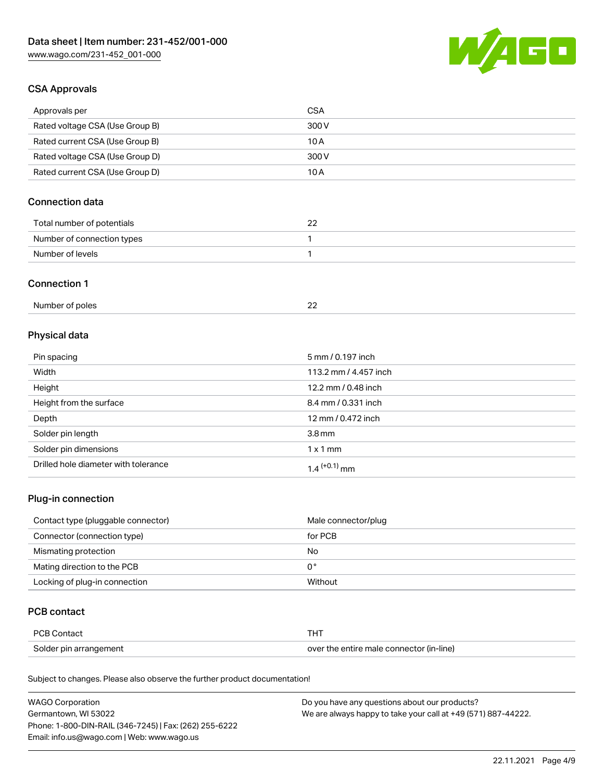

### CSA Approvals

| Approvals per                   | CSA   |
|---------------------------------|-------|
| Rated voltage CSA (Use Group B) | 300 V |
| Rated current CSA (Use Group B) | 10 A  |
| Rated voltage CSA (Use Group D) | 300 V |
| Rated current CSA (Use Group D) | 10 A  |

## Connection data

| Total number of potentials | ے |
|----------------------------|---|
| Number of connection types |   |
| Number of levels           |   |

#### Connection 1

| Number of poles |  |
|-----------------|--|
|                 |  |

## Physical data

| Pin spacing                          | 5 mm / 0.197 inch     |
|--------------------------------------|-----------------------|
| Width                                | 113.2 mm / 4.457 inch |
| Height                               | 12.2 mm / 0.48 inch   |
| Height from the surface              | 8.4 mm / 0.331 inch   |
| Depth                                | 12 mm / 0.472 inch    |
| Solder pin length                    | 3.8 <sub>mm</sub>     |
| Solder pin dimensions                | $1 \times 1$ mm       |
| Drilled hole diameter with tolerance | $1.4$ $(+0.1)$ mm     |

## Plug-in connection

| Contact type (pluggable connector) | Male connector/plug |
|------------------------------------|---------------------|
| Connector (connection type)        | for PCB             |
| Mismating protection               | No                  |
| Mating direction to the PCB        | 0°                  |
| Locking of plug-in connection      | Without             |

### PCB contact

| PCB Contact            | тнт                                      |
|------------------------|------------------------------------------|
| Solder pin arrangement | over the entire male connector (in-line) |

| <b>WAGO Corporation</b>                                | Do you have any questions about our products?                 |
|--------------------------------------------------------|---------------------------------------------------------------|
| Germantown, WI 53022                                   | We are always happy to take your call at +49 (571) 887-44222. |
| Phone: 1-800-DIN-RAIL (346-7245)   Fax: (262) 255-6222 |                                                               |
| Email: info.us@wago.com   Web: www.wago.us             |                                                               |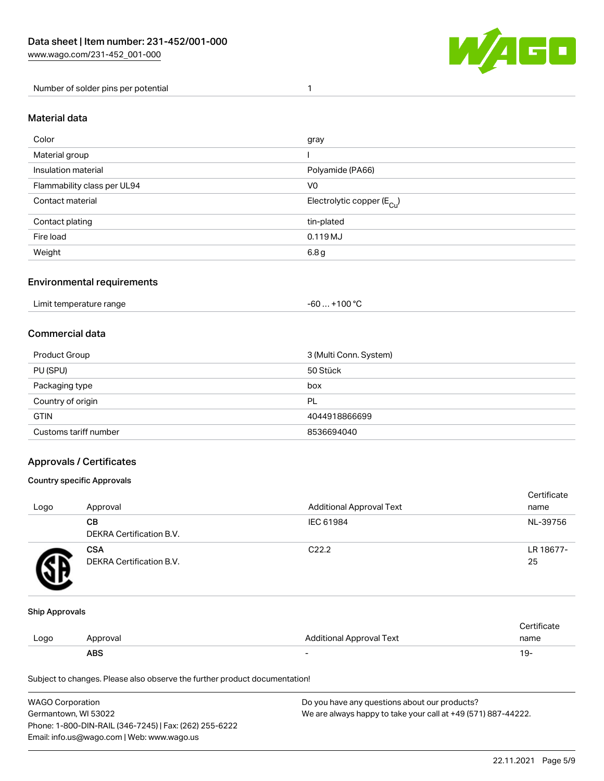

Number of solder pins per potential 1

### Material data

| Color                       | gray                                   |
|-----------------------------|----------------------------------------|
| Material group              |                                        |
| Insulation material         | Polyamide (PA66)                       |
| Flammability class per UL94 | V <sub>0</sub>                         |
| Contact material            | Electrolytic copper (E <sub>Cu</sub> ) |
| Contact plating             | tin-plated                             |
| Fire load                   | $0.119$ MJ                             |
| Weight                      | 6.8 <sub>g</sub>                       |

### Environmental requirements

Limit temperature range  $-60... +100$  °C

### Commercial data

| Product Group         | 3 (Multi Conn. System) |
|-----------------------|------------------------|
| PU (SPU)              | 50 Stück               |
| Packaging type        | box                    |
| Country of origin     | PL                     |
| <b>GTIN</b>           | 4044918866699          |
| Customs tariff number | 8536694040             |

### Approvals / Certificates

#### Country specific Approvals

| Logo | Approval                               | <b>Additional Approval Text</b> | Certificate<br>name |
|------|----------------------------------------|---------------------------------|---------------------|
|      | CВ<br><b>DEKRA Certification B.V.</b>  | IEC 61984                       | NL-39756            |
|      | <b>CSA</b><br>DEKRA Certification B.V. | C <sub>22.2</sub>               | LR 18677-<br>25     |

#### Ship Approvals

|      | <b>ABS</b> |                          | 19-  |
|------|------------|--------------------------|------|
| LOQO | Approval   | Additional Approval Text | name |
|      |            |                          |      |

| WAGO Corporation                                       | Do you have any questions about our products?                 |
|--------------------------------------------------------|---------------------------------------------------------------|
| Germantown, WI 53022                                   | We are always happy to take your call at +49 (571) 887-44222. |
| Phone: 1-800-DIN-RAIL (346-7245)   Fax: (262) 255-6222 |                                                               |
| Email: info.us@wago.com   Web: www.wago.us             |                                                               |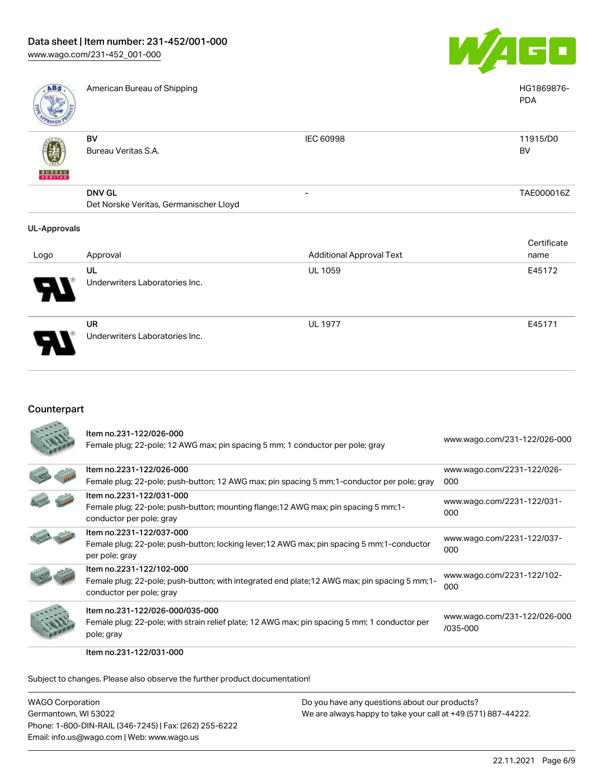

|   | American Bureau of Shipping |           | HG1869876-<br><b>PDA</b> |
|---|-----------------------------|-----------|--------------------------|
|   | BV                          | IEC 60998 | 11915/D0                 |
| v | Bureau Veritas S.A.         |           | BV                       |

| <b>ED</b>        |                                        |                          |            |
|------------------|----------------------------------------|--------------------------|------------|
|                  | BV                                     | IEC 60998                | 11915/D0   |
| 9<br>EAU<br>ITAS | Bureau Veritas S.A.                    |                          | <b>BV</b>  |
|                  | <b>DNV GL</b>                          | $\overline{\phantom{0}}$ | TAE000016Z |
|                  | Det Norske Veritas, Germanischer Lloyd |                          |            |
|                  |                                        |                          |            |

#### UL-Approvals

 $rac{BD}{\sqrt{E}}$ 

|                          |                                             |                                 | Certificate |
|--------------------------|---------------------------------------------|---------------------------------|-------------|
| Logo                     | Approval                                    | <b>Additional Approval Text</b> | name        |
| 8.                       | UL<br>Underwriters Laboratories Inc.        | <b>UL 1059</b>                  | E45172      |
| $\overline{\phantom{0}}$ | <b>UR</b><br>Underwriters Laboratories Inc. | <b>UL 1977</b>                  | E45171      |

### Counterpart

| Item no.231-122/026-000<br>Female plug; 22-pole; 12 AWG max; pin spacing 5 mm; 1 conductor per pole; gray                                              | www.wago.com/231-122/026-000             |
|--------------------------------------------------------------------------------------------------------------------------------------------------------|------------------------------------------|
| Item no.2231-122/026-000                                                                                                                               | www.wago.com/2231-122/026-               |
| Female plug; 22-pole; push-button; 12 AWG max; pin spacing 5 mm; 1-conductor per pole; gray                                                            | 000                                      |
| Item no.2231-122/031-000<br>Female plug; 22-pole; push-button; mounting flange; 12 AWG max; pin spacing 5 mm; 1-<br>conductor per pole; gray           | www.wago.com/2231-122/031-<br>000        |
| Item no.2231-122/037-000<br>Female plug; 22-pole; push-button; locking lever; 12 AWG max; pin spacing 5 mm; 1-conductor<br>per pole; gray              | www.wago.com/2231-122/037-<br>000        |
| Item no.2231-122/102-000<br>Female plug; 22-pole; push-button; with integrated end plate; 12 AWG max; pin spacing 5 mm; 1-<br>conductor per pole; gray | www.wago.com/2231-122/102-<br>000        |
| Item no.231-122/026-000/035-000<br>Female plug; 22-pole; with strain relief plate; 12 AWG max; pin spacing 5 mm; 1 conductor per<br>pole; gray         | www.wago.com/231-122/026-000<br>/035-000 |
| Item no.231-122/031-000                                                                                                                                |                                          |

| <b>WAGO Corporation</b>                                | Do you have any questions about our products?                 |
|--------------------------------------------------------|---------------------------------------------------------------|
| Germantown, WI 53022                                   | We are always happy to take your call at +49 (571) 887-44222. |
| Phone: 1-800-DIN-RAIL (346-7245)   Fax: (262) 255-6222 |                                                               |
| Email: info.us@wago.com   Web: www.wago.us             |                                                               |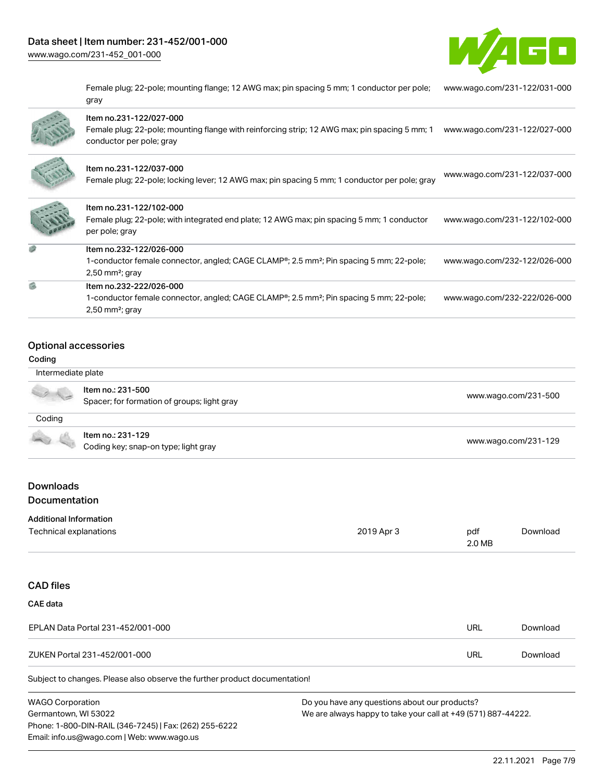[www.wago.com/231-452\\_001-000](http://www.wago.com/231-452_001-000)



Female plug; 22-pole; mounting flange; 12 AWG max; pin spacing 5 mm; 1 conductor per pole; gray [www.wago.com/231-122/031-000](https://www.wago.com/231-122/031-000) Item no.231-122/027-000 Female plug; 22-pole; mounting flange with reinforcing strip; 12 AWG max; pin spacing 5 mm; 1 conductor per pole; gray [www.wago.com/231-122/027-000](https://www.wago.com/231-122/027-000) Item no.231-122/037-000 Female plug; 22-pole; locking lever; 12 AWG max; pin spacing 5 mm; 1 conductor per pole; gray [www.wago.com/231-122/037-000](https://www.wago.com/231-122/037-000) Item no.231-122/102-000 Female plug; 22-pole; with integrated end plate; 12 AWG max; pin spacing 5 mm; 1 conductor per pole; gray [www.wago.com/231-122/102-000](https://www.wago.com/231-122/102-000) Item no.232-122/026-000 1-conductor female connector, angled; CAGE CLAMP®; 2.5 mm²; Pin spacing 5 mm; 22-pole; 2,50 mm²; gray [www.wago.com/232-122/026-000](https://www.wago.com/232-122/026-000) Item no.232-222/026-000 1-conductor female connector, angled; CAGE CLAMP®; 2.5 mm²; Pin spacing 5 mm; 22-pole; 2,50 mm²; gray [www.wago.com/232-222/026-000](https://www.wago.com/232-222/026-000)

### Optional accessories

#### Coding

|                                                                                                                                                                                                                                                                                                                                                     | Intermediate plate                                               |                      |  |
|-----------------------------------------------------------------------------------------------------------------------------------------------------------------------------------------------------------------------------------------------------------------------------------------------------------------------------------------------------|------------------------------------------------------------------|----------------------|--|
| $\begin{picture}(120,15) \put(0,0){\line(1,0){15}} \put(15,0){\line(1,0){15}} \put(15,0){\line(1,0){15}} \put(15,0){\line(1,0){15}} \put(15,0){\line(1,0){15}} \put(15,0){\line(1,0){15}} \put(15,0){\line(1,0){15}} \put(15,0){\line(1,0){15}} \put(15,0){\line(1,0){15}} \put(15,0){\line(1,0){15}} \put(15,0){\line(1,0){15}} \put(15,0){\line($ | Item no.: 231-500<br>Spacer; for formation of groups; light gray | www.wago.com/231-500 |  |
| Coding                                                                                                                                                                                                                                                                                                                                              |                                                                  |                      |  |
|                                                                                                                                                                                                                                                                                                                                                     | Item no.: 231-129<br>Coding key; snap-on type; light gray        | www.wago.com/231-129 |  |

#### Downloads Documentation

#### Additional Information

| Technical explanations                                                     | 2019 Apr 3                                    | pdf<br>2.0 MB | Download |
|----------------------------------------------------------------------------|-----------------------------------------------|---------------|----------|
|                                                                            |                                               |               |          |
| <b>CAD files</b>                                                           |                                               |               |          |
| CAE data                                                                   |                                               |               |          |
| EPLAN Data Portal 231-452/001-000                                          |                                               | <b>URL</b>    | Download |
| ZUKEN Portal 231-452/001-000                                               |                                               | <b>URL</b>    | Download |
| Subject to changes. Please also observe the further product documentation! |                                               |               |          |
| <b>MAGO Corporation</b>                                                    | Do you have any questions about our products? |               |          |

WAGO Corporation Germantown, WI 53022 Phone: 1-800-DIN-RAIL (346-7245) | Fax: (262) 255-6222 Email: info.us@wago.com | Web: www.wago.us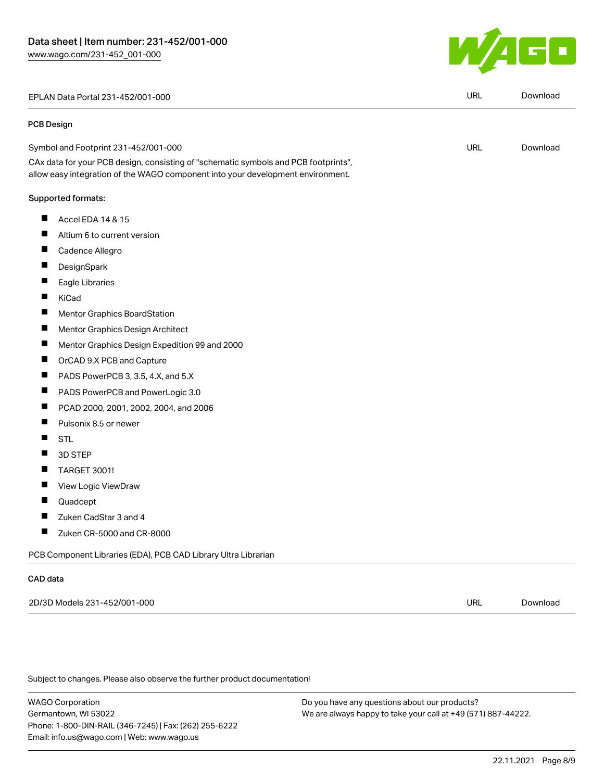## EPLAN Data Portal 231-452/001-000 URL [Download](https://www.wago.com/global/d/EPLAN_URLS_231-452_001-000)

#### PCB Design

## Symbol and Footprint 231-452/001-000 URL [Download](https://www.wago.com/global/d/UltraLibrarian_URLS_231-452_001-000)

CAx data for your PCB design, consisting of "schematic symbols and PCB footprints", allow easy integration of the WAGO component into your development environment.

#### Supported formats:

- $\blacksquare$ Accel EDA 14 & 15
- $\blacksquare$ Altium 6 to current version
- $\blacksquare$ Cadence Allegro
- $\blacksquare$ **DesignSpark**
- $\blacksquare$ Eagle Libraries
- $\blacksquare$ KiCad
- $\blacksquare$ Mentor Graphics BoardStation
- П Mentor Graphics Design Architect
- $\blacksquare$ Mentor Graphics Design Expedition 99 and 2000
- $\blacksquare$ OrCAD 9.X PCB and Capture
- $\blacksquare$ PADS PowerPCB 3, 3.5, 4.X, and 5.X
- $\blacksquare$ PADS PowerPCB and PowerLogic 3.0
- П PCAD 2000, 2001, 2002, 2004, and 2006
- $\blacksquare$ Pulsonix 8.5 or newer
- $\blacksquare$ STL
- $\blacksquare$ 3D STEP
- $\blacksquare$ TARGET 3001!
- П View Logic ViewDraw
- П Quadcept
- $\blacksquare$ Zuken CadStar 3 and 4
- П Zuken CR-5000 and CR-8000

PCB Component Libraries (EDA), PCB CAD Library Ultra Librarian

#### CAD data

2D/3D Models 231-452/001-000 URL [Download](https://www.wago.com/global/d/3D_URLS_231-452_001-000)

Subject to changes. Please also observe the further product documentation!

WAGO Corporation Germantown, WI 53022 Phone: 1-800-DIN-RAIL (346-7245) | Fax: (262) 255-6222 Email: info.us@wago.com | Web: www.wago.us